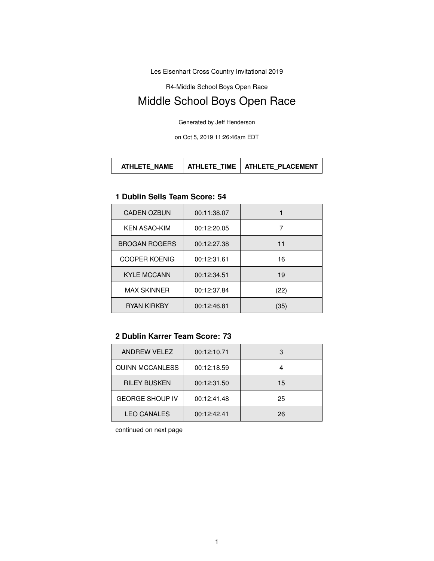Les Eisenhart Cross Country Invitational 2019

R4-Middle School Boys Open Race

# Middle School Boys Open Race

Generated by Jeff Henderson

on Oct 5, 2019 11:26:46am EDT

| ATHLETE TIME   ATHLETE PLACEMENT<br><b>ATHLETE NAME</b> |  |
|---------------------------------------------------------|--|
|---------------------------------------------------------|--|

#### **1 Dublin Sells Team Score: 54**

| <b>CADEN OZBUN</b>   | 00:11:38.07 |      |
|----------------------|-------------|------|
| KEN ASAO-KIM         | 00:12:20.05 |      |
| <b>BROGAN ROGERS</b> | 00:12:27.38 | 11   |
| <b>COOPER KOENIG</b> | 00:12:31.61 | 16   |
| <b>KYLE MCCANN</b>   | 00:12:34.51 | 19   |
| <b>MAX SKINNER</b>   | 00:12:37.84 | (22) |
| <b>RYAN KIRKBY</b>   | 00:12:46.81 | (35) |

#### **2 Dublin Karrer Team Score: 73**

| <b>ANDREW VELEZ</b>    | 00:12:10.71 | З  |
|------------------------|-------------|----|
| <b>QUINN MCCANLESS</b> | 00:12:18.59 |    |
| <b>RILEY BUSKEN</b>    | 00:12:31.50 | 15 |
| <b>GEORGE SHOUP IV</b> | 00:12:41.48 | 25 |
| <b>LEO CANALES</b>     | 00:12:42.41 | 26 |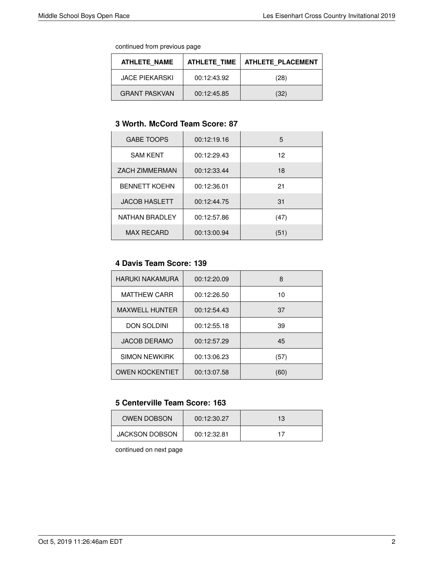| ATHLETE NAME          | ATHLETE TIME | ATHLETE PLACEMENT |
|-----------------------|--------------|-------------------|
| <b>JACE PIEKARSKI</b> | 00:12:43.92  | (28)              |
| <b>GRANT PASKVAN</b>  | 00:12:45.85  | (32)              |

# **3 Worth. McCord Team Score: 87**

| <b>GABE TOOPS</b>     | 00:12:19.16 | 5    |
|-----------------------|-------------|------|
| <b>SAM KENT</b>       | 00:12:29.43 | 12   |
| <b>ZACH ZIMMERMAN</b> | 00:12:33.44 | 18   |
| <b>BENNETT KOEHN</b>  | 00:12:36.01 | 21   |
| <b>JACOB HASLETT</b>  | 00:12:44.75 | 31   |
| NATHAN BRADLEY        | 00:12:57.86 | (47) |
| <b>MAX RECARD</b>     | 00:13:00.94 | (51) |

#### **4 Davis Team Score: 139**

| HARUKI NAKAMURA        | 00:12:20.09 | 8    |
|------------------------|-------------|------|
| <b>MATTHEW CARR</b>    | 00:12:26.50 | 10   |
| <b>MAXWELL HUNTER</b>  | 00:12:54.43 | 37   |
| <b>DON SOLDINI</b>     | 00:12:55.18 | 39   |
| <b>JACOB DERAMO</b>    | 00:12:57.29 | 45   |
| <b>SIMON NEWKIRK</b>   | 00:13:06.23 | (57) |
| <b>OWEN KOCKENTIET</b> | 00:13:07.58 | (60) |

#### **5 Centerville Team Score: 163**

| <b>OWEN DOBSON</b>    | 00:12:30.27 | 13 |
|-----------------------|-------------|----|
| <b>JACKSON DOBSON</b> | 00:12:32.81 |    |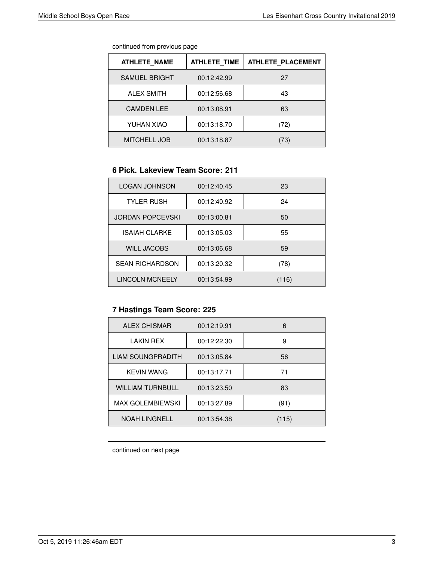| continued from previous page |
|------------------------------|
|                              |

| <b>ATHLETE NAME</b>  | <b>ATHLETE TIME</b> | ATHLETE PLACEMENT |
|----------------------|---------------------|-------------------|
| <b>SAMUEL BRIGHT</b> | 00:12:42.99         | 27                |
| <b>ALEX SMITH</b>    | 00:12:56.68         | 43                |
| <b>CAMDEN LEE</b>    | 00:13:08.91         | 63                |
| YUHAN XIAO           | 00:13:18.70         | (72)              |
| <b>MITCHELL JOB</b>  | 00:13:18.87         | (73)              |

#### **6 Pick. Lakeview Team Score: 211**

| LOGAN JOHNSON           | 00:12:40.45 | 23    |
|-------------------------|-------------|-------|
| <b>TYLER RUSH</b>       | 00:12:40.92 | 24    |
| <b>JORDAN POPCEVSKI</b> | 00:13:00.81 | 50    |
| <b>ISAIAH CLARKE</b>    | 00:13:05.03 | 55    |
| <b>WILL JACOBS</b>      | 00:13:06.68 | 59    |
| <b>SEAN RICHARDSON</b>  | 00:13:20.32 | (78)  |
| <b>LINCOLN MCNEELY</b>  | 00:13:54.99 | (116) |

# **7 Hastings Team Score: 225**

| <b>ALEX CHISMAR</b>     | 00:12:19.91 | 6     |
|-------------------------|-------------|-------|
| LAKIN REX               | 00:12:22.30 | 9     |
| LIAM SOUNGPRADITH       | 00:13:05.84 | 56    |
| <b>KEVIN WANG</b>       | 00:13:17.71 | 71    |
| <b>WILLIAM TURNBULL</b> | 00:13:23.50 | 83    |
| <b>MAX GOLEMBIEWSKI</b> | 00:13:27.89 | (91)  |
| <b>NOAH LINGNELL</b>    | 00:13:54.38 | (115) |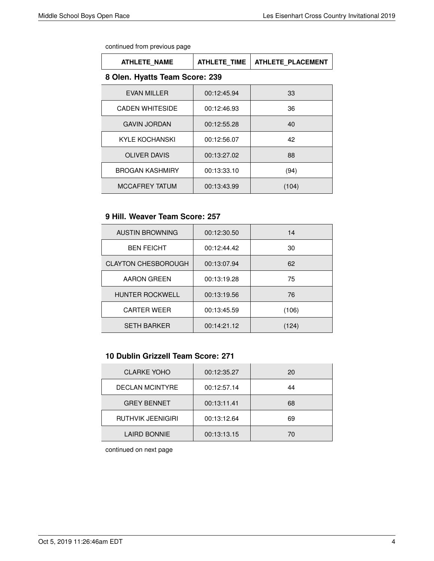| <b>ATHLETE NAME</b>            | ATHLETE TIME | <b>ATHLETE PLACEMENT</b> |
|--------------------------------|--------------|--------------------------|
| 8 Olen. Hyatts Team Score: 239 |              |                          |
| EVAN MILLER                    | 00:12:45.94  | 33                       |
|                                |              |                          |

| <b>CADEN WHITESIDE</b> | 00:12:46.93 | 36    |
|------------------------|-------------|-------|
| <b>GAVIN JORDAN</b>    | 00:12:55.28 | 40    |
| <b>KYLE KOCHANSKI</b>  | 00:12:56.07 | 42    |
| <b>OLIVER DAVIS</b>    | 00:13:27.02 | 88    |
| <b>BROGAN KASHMIRY</b> | 00:13:33.10 | (94)  |
| <b>MCCAFREY TATUM</b>  | 00:13:43.99 | (104) |

#### **9 Hill. Weaver Team Score: 257**

| <b>AUSTIN BROWNING</b>     | 00:12:30.50<br>14 |       |
|----------------------------|-------------------|-------|
| <b>BEN FEICHT</b>          | 00:12:44.42       | 30    |
| <b>CLAYTON CHESBOROUGH</b> | 00:13:07.94       | 62    |
| AARON GREEN                | 00:13:19.28       | 75    |
| <b>HUNTER ROCKWELL</b>     | 00:13:19.56       | 76    |
| <b>CARTER WEER</b>         | 00:13:45.59       | (106) |
| <b>SETH BARKER</b>         | 00:14:21.12       | (124) |

### **10 Dublin Grizzell Team Score: 271**

| <b>CLARKE YOHO</b>       | 00:12:35.27 | 20 |
|--------------------------|-------------|----|
| <b>DECLAN MCINTYRE</b>   | 00:12:57.14 | 44 |
| <b>GREY BENNET</b>       | 00:13:11.41 | 68 |
| <b>RUTHVIK JEENIGIRI</b> | 00:13:12.64 | 69 |
| <b>LAIRD BONNIE</b>      | 00:13:13.15 | 70 |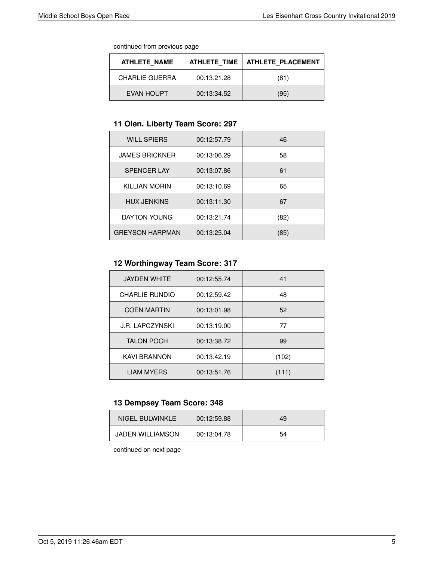| <b>ATHLETE NAME</b>   | <b>ATHLETE TIME</b> | <b>ATHLETE PLACEMENT</b> |
|-----------------------|---------------------|--------------------------|
| <b>CHARLIE GUERRA</b> | 00:13:21.28         | (81)                     |
| EVAN HOUPT            | 00:13:34.52         | (95)                     |

# **11 Olen. Liberty Team Score: 297**

| <b>WILL SPIERS</b>     | 00:12:57.79 | 46   |
|------------------------|-------------|------|
| <b>JAMES BRICKNER</b>  | 00:13:06.29 | 58   |
| <b>SPENCER LAY</b>     | 00:13:07.86 | 61   |
| KILLIAN MORIN          | 00:13:10.69 | 65   |
| <b>HUX JENKINS</b>     | 00:13:11.30 | 67   |
| <b>DAYTON YOUNG</b>    | 00:13:21.74 | (82) |
| <b>GREYSON HARPMAN</b> | 00:13:25.04 | (85) |

# **12 Worthingway Team Score: 317**

| <b>JAYDEN WHITE</b>    | 00:12:55.74 | 41    |
|------------------------|-------------|-------|
| <b>CHARLIE RUNDIO</b>  | 00:12:59.42 | 48    |
| <b>COEN MARTIN</b>     | 00:13:01.98 | 52    |
| <b>J.R. LAPCZYNSKI</b> | 00:13:19.00 | 77    |
| <b>TALON POCH</b>      | 00:13:38.72 | 99    |
| <b>KAVI BRANNON</b>    | 00:13:42.19 | (102) |
| <b>LIAM MYERS</b>      | 00:13:51.76 | (111) |

# **13 Dempsey Team Score: 348**

| NIGEL BULWINKLE         | 00:12:59.88 | 49 |
|-------------------------|-------------|----|
| <b>JADEN WILLIAMSON</b> | 00:13:04.78 | 54 |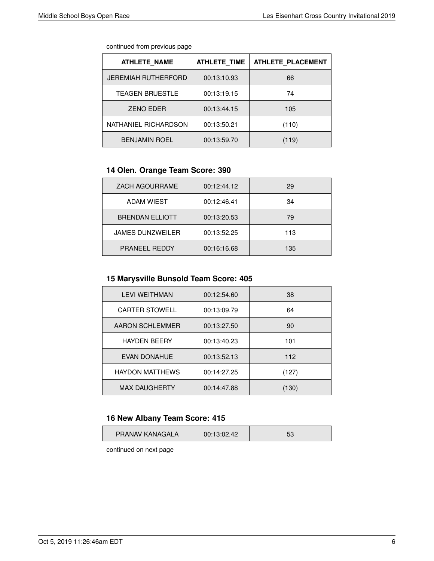| <b>ATHLETE NAME</b>        | <b>ATHLETE TIME</b> | <b>ATHLETE PLACEMENT</b> |
|----------------------------|---------------------|--------------------------|
| <b>JEREMIAH RUTHERFORD</b> | 00:13:10.93         | 66                       |
| <b>TEAGEN BRUESTLE</b>     | 00:13:19.15         | 74                       |
| <b>ZENO EDER</b>           | 00:13:44.15         | 105                      |
| NATHANIEL RICHARDSON       | 00:13:50.21         | (110)                    |
| <b>BENJAMIN ROEL</b>       | 00:13:59.70         | (119)                    |

#### **14 Olen. Orange Team Score: 390**

| <b>ZACH AGOURRAME</b>   | 00:12:44.12 | 29  |
|-------------------------|-------------|-----|
| <b>ADAM WIEST</b>       | 00:12:46.41 | 34  |
| <b>BRENDAN ELLIOTT</b>  | 00:13:20.53 | 79  |
| <b>JAMES DUNZWEILER</b> | 00:13:52.25 | 113 |
| <b>PRANEEL REDDY</b>    | 00:16:16.68 | 135 |

# **15 Marysville Bunsold Team Score: 405**

| <b>LEVI WEITHMAN</b>   | 00:12:54.60<br>38 |       |
|------------------------|-------------------|-------|
| <b>CARTER STOWELL</b>  | 00:13:09.79       | 64    |
| AARON SCHLEMMER        | 00:13:27.50       | 90    |
| <b>HAYDEN BEERY</b>    | 00:13:40.23       | 101   |
| <b>EVAN DONAHUE</b>    | 00:13:52.13       | 112   |
| <b>HAYDON MATTHEWS</b> | 00:14:27.25       | (127) |
| <b>MAX DAUGHERTY</b>   | 00:14:47.88       | (130) |

# **16 New Albany Team Score: 415**

| PRANAV KANAGALA<br>00:13:02.42 |  |
|--------------------------------|--|
|--------------------------------|--|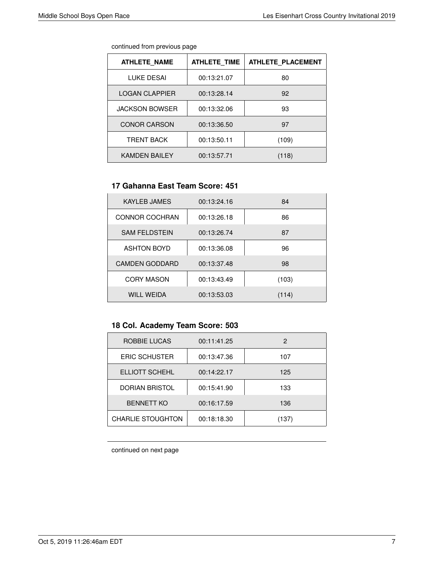| continued from previous page |  |  |
|------------------------------|--|--|
|                              |  |  |

| <b>ATHLETE NAME</b>   | <b>ATHLETE TIME</b> | <b>ATHLETE PLACEMENT</b> |
|-----------------------|---------------------|--------------------------|
| LUKE DESAI            | 00:13:21.07         | 80                       |
| <b>LOGAN CLAPPIER</b> | 00:13:28.14         | 92                       |
| <b>JACKSON BOWSER</b> | 00:13:32.06         | 93                       |
| <b>CONOR CARSON</b>   | 00:13:36.50         | 97                       |
| <b>TRENT BACK</b>     | 00:13:50.11         | (109)                    |
| <b>KAMDEN BAILEY</b>  | 00:13:57.71         | (118)                    |

#### **17 Gahanna East Team Score: 451**

| <b>KAYLEB JAMES</b>   | 00:13:24.16 | 84    |
|-----------------------|-------------|-------|
| <b>CONNOR COCHRAN</b> | 00:13:26.18 | 86    |
| <b>SAM FELDSTEIN</b>  | 00:13:26.74 | 87    |
| <b>ASHTON BOYD</b>    | 00:13:36.08 | 96    |
| <b>CAMDEN GODDARD</b> | 00:13:37.48 | 98    |
| <b>CORY MASON</b>     | 00:13:43.49 | (103) |
| <b>WILL WEIDA</b>     | 00:13:53.03 | (114) |

# **18 Col. Academy Team Score: 503**

| ROBBIE LUCAS             | 00:11:41.25 | 2    |
|--------------------------|-------------|------|
| <b>ERIC SCHUSTER</b>     | 00:13:47.36 | 107  |
| ELLIOTT SCHEHL           | 00:14:22.17 | 125  |
| <b>DORIAN BRISTOL</b>    | 00:15:41.90 | 133  |
| <b>BENNETT KO</b>        | 00:16:17.59 | 136  |
| <b>CHARLIE STOUGHTON</b> | 00:18:18.30 | (137 |